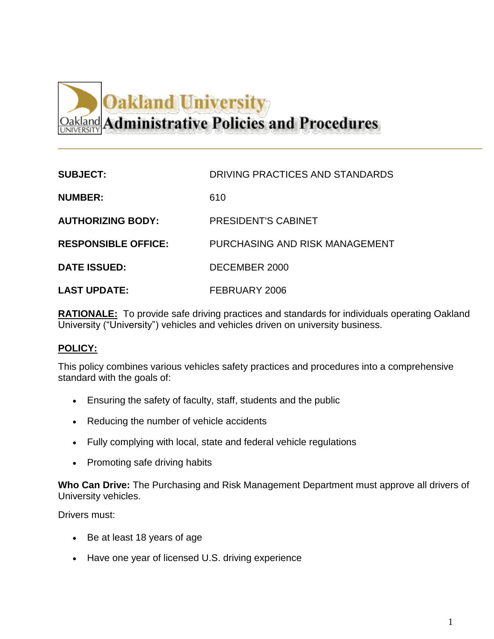## **Oakland University Oakland Administrative Policies and Procedures**

| <b>SUBJECT:</b>            | DRIVING PRACTICES AND STANDARDS |
|----------------------------|---------------------------------|
| <b>NUMBER:</b>             | 610                             |
| <b>AUTHORIZING BODY:</b>   | <b>PRESIDENT'S CABINET</b>      |
| <b>RESPONSIBLE OFFICE:</b> | PURCHASING AND RISK MANAGEMENT  |
| <b>DATE ISSUED:</b>        | DECEMBER 2000                   |
| <b>LAST UPDATE:</b>        | FEBRUARY 2006                   |

**RATIONALE:** To provide safe driving practices and standards for individuals operating Oakland University ("University") vehicles and vehicles driven on university business.

## **POLICY:**

This policy combines various vehicles safety practices and procedures into a comprehensive standard with the goals of:

- Ensuring the safety of faculty, staff, students and the public
- Reducing the number of vehicle accidents
- Fully complying with local, state and federal vehicle regulations
- Promoting safe driving habits

**Who Can Drive:** The Purchasing and Risk Management Department must approve all drivers of University vehicles.

Drivers must:

- Be at least 18 years of age
- Have one year of licensed U.S. driving experience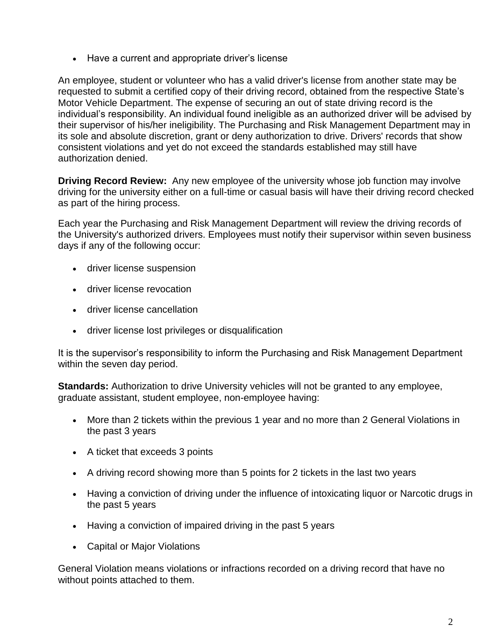• Have a current and appropriate driver's license

An employee, student or volunteer who has a valid driver's license from another state may be requested to submit a certified copy of their driving record, obtained from the respective State's Motor Vehicle Department. The expense of securing an out of state driving record is the individual's responsibility. An individual found ineligible as an authorized driver will be advised by their supervisor of his/her ineligibility. The Purchasing and Risk Management Department may in its sole and absolute discretion, grant or deny authorization to drive. Drivers' records that show consistent violations and yet do not exceed the standards established may still have authorization denied.

**Driving Record Review:** Any new employee of the university whose job function may involve driving for the university either on a full-time or casual basis will have their driving record checked as part of the hiring process.

Each year the Purchasing and Risk Management Department will review the driving records of the University's authorized drivers. Employees must notify their supervisor within seven business days if any of the following occur:

- driver license suspension
- driver license revocation
- driver license cancellation
- driver license lost privileges or disqualification

It is the supervisor's responsibility to inform the Purchasing and Risk Management Department within the seven day period.

**Standards:** Authorization to drive University vehicles will not be granted to any employee, graduate assistant, student employee, non-employee having:

- More than 2 tickets within the previous 1 year and no more than 2 General Violations in the past 3 years
- A ticket that exceeds 3 points
- A driving record showing more than 5 points for 2 tickets in the last two years
- Having a conviction of driving under the influence of intoxicating liquor or Narcotic drugs in the past 5 years
- Having a conviction of impaired driving in the past 5 years
- Capital or Major Violations

General Violation means violations or infractions recorded on a driving record that have no without points attached to them.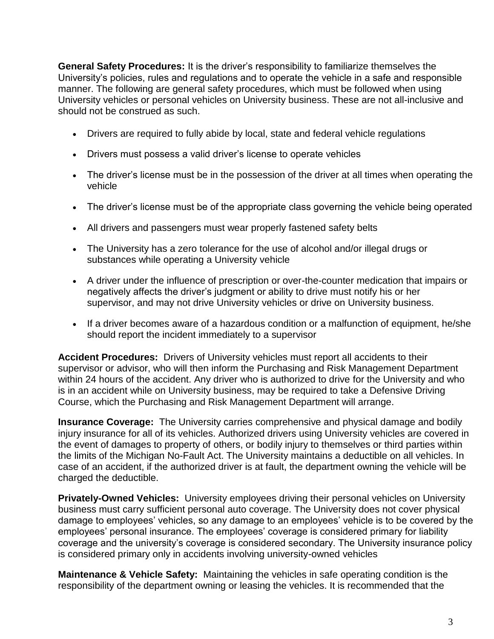**General Safety Procedures:** It is the driver's responsibility to familiarize themselves the University's policies, rules and regulations and to operate the vehicle in a safe and responsible manner. The following are general safety procedures, which must be followed when using University vehicles or personal vehicles on University business. These are not all-inclusive and should not be construed as such.

- Drivers are required to fully abide by local, state and federal vehicle regulations
- Drivers must possess a valid driver's license to operate vehicles
- The driver's license must be in the possession of the driver at all times when operating the vehicle
- The driver's license must be of the appropriate class governing the vehicle being operated
- All drivers and passengers must wear properly fastened safety belts
- The University has a zero tolerance for the use of alcohol and/or illegal drugs or substances while operating a University vehicle
- A driver under the influence of prescription or over-the-counter medication that impairs or negatively affects the driver's judgment or ability to drive must notify his or her supervisor, and may not drive University vehicles or drive on University business.
- If a driver becomes aware of a hazardous condition or a malfunction of equipment, he/she should report the incident immediately to a supervisor

**Accident Procedures:** Drivers of University vehicles must report all accidents to their supervisor or advisor, who will then inform the Purchasing and Risk Management Department within 24 hours of the accident. Any driver who is authorized to drive for the University and who is in an accident while on University business, may be required to take a Defensive Driving Course, which the Purchasing and Risk Management Department will arrange.

**Insurance Coverage:** The University carries comprehensive and physical damage and bodily injury insurance for all of its vehicles. Authorized drivers using University vehicles are covered in the event of damages to property of others, or bodily injury to themselves or third parties within the limits of the Michigan No-Fault Act. The University maintains a deductible on all vehicles. In case of an accident, if the authorized driver is at fault, the department owning the vehicle will be charged the deductible.

**Privately-Owned Vehicles:** University employees driving their personal vehicles on University business must carry sufficient personal auto coverage. The University does not cover physical damage to employees' vehicles, so any damage to an employees' vehicle is to be covered by the employees' personal insurance. The employees' coverage is considered primary for liability coverage and the university's coverage is considered secondary. The University insurance policy is considered primary only in accidents involving university-owned vehicles

**Maintenance & Vehicle Safety:** Maintaining the vehicles in safe operating condition is the responsibility of the department owning or leasing the vehicles. It is recommended that the